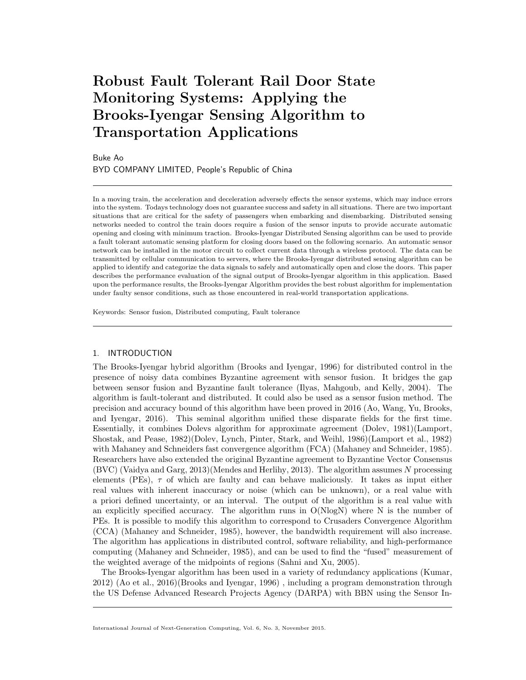# Robust Fault Tolerant Rail Door State Monitoring Systems: Applying the Brooks-Iyengar Sensing Algorithm to Transportation Applications

Buke Ao BYD COMPANY LIMITED, People's Republic of China

In a moving train, the acceleration and deceleration adversely effects the sensor systems, which may induce errors into the system. Todays technology does not guarantee success and safety in all situations. There are two important situations that are critical for the safety of passengers when embarking and disembarking. Distributed sensing networks needed to control the train doors require a fusion of the sensor inputs to provide accurate automatic opening and closing with minimum traction. Brooks-Iyengar Distributed Sensing algorithm can be used to provide a fault tolerant automatic sensing platform for closing doors based on the following scenario. An automatic sensor network can be installed in the motor circuit to collect current data through a wireless protocol. The data can be transmitted by cellular communication to servers, where the Brooks-Iyengar distributed sensing algorithm can be applied to identify and categorize the data signals to safely and automatically open and close the doors. This paper describes the performance evaluation of the signal output of Brooks-Iyengar algorithm in this application. Based upon the performance results, the Brooks-Iyengar Algorithm provides the best robust algorithm for implementation under faulty sensor conditions, such as those encountered in real-world transportation applications.

Keywords: Sensor fusion, Distributed computing, Fault tolerance

### 1. INTRODUCTION

The Brooks-Iyengar hybrid algorithm (Brooks and Iyengar, 1996) for distributed control in the presence of noisy data combines Byzantine agreement with sensor fusion. It bridges the gap between sensor fusion and Byzantine fault tolerance (Ilyas, Mahgoub, and Kelly, 2004). The algorithm is fault-tolerant and distributed. It could also be used as a sensor fusion method. The precision and accuracy bound of this algorithm have been proved in 2016 (Ao, Wang, Yu, Brooks, and Iyengar, 2016). This seminal algorithm unified these disparate fields for the first time. Essentially, it combines Dolevs algorithm for approximate agreement (Dolev, 1981)(Lamport, Shostak, and Pease, 1982)(Dolev, Lynch, Pinter, Stark, and Weihl, 1986)(Lamport et al., 1982) with Mahaney and Schneiders fast convergence algorithm (FCA) (Mahaney and Schneider, 1985). Researchers have also extended the original Byzantine agreement to Byzantine Vector Consensus (BVC) (Vaidya and Garg, 2013)(Mendes and Herlihy, 2013). The algorithm assumes N processing elements (PEs),  $\tau$  of which are faulty and can behave maliciously. It takes as input either real values with inherent inaccuracy or noise (which can be unknown), or a real value with a priori defined uncertainty, or an interval. The output of the algorithm is a real value with an explicitly specified accuracy. The algorithm runs in O(NlogN) where N is the number of PEs. It is possible to modify this algorithm to correspond to Crusaders Convergence Algorithm (CCA) (Mahaney and Schneider, 1985), however, the bandwidth requirement will also increase. The algorithm has applications in distributed control, software reliability, and high-performance computing (Mahaney and Schneider, 1985), and can be used to find the "fused" measurement of the weighted average of the midpoints of regions (Sahni and Xu, 2005).

The Brooks-Iyengar algorithm has been used in a variety of redundancy applications (Kumar, 2012) (Ao et al., 2016)(Brooks and Iyengar, 1996) , including a program demonstration through the US Defense Advanced Research Projects Agency (DARPA) with BBN using the Sensor In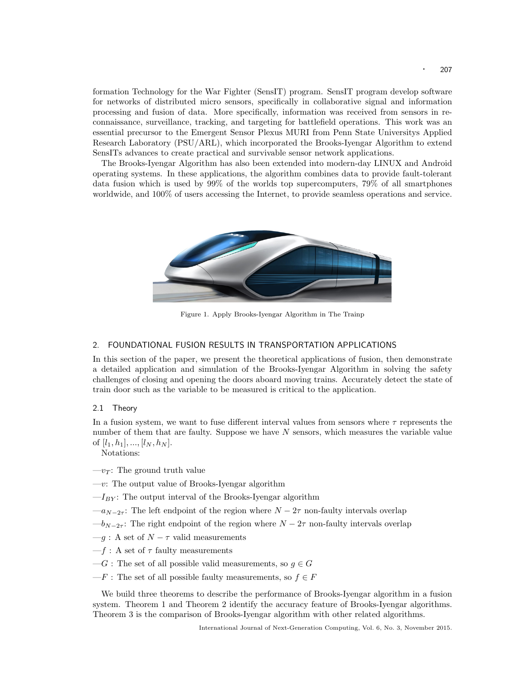formation Technology for the War Fighter (SensIT) program. SensIT program develop software for networks of distributed micro sensors, specifically in collaborative signal and information processing and fusion of data. More specifically, information was received from sensors in reconnaissance, surveillance, tracking, and targeting for battlefield operations. This work was an essential precursor to the Emergent Sensor Plexus MURI from Penn State Universitys Applied Research Laboratory (PSU/ARL), which incorporated the Brooks-Iyengar Algorithm to extend SensITs advances to create practical and survivable sensor network applications.

The Brooks-Iyengar Algorithm has also been extended into modern-day LINUX and Android operating systems. In these applications, the algorithm combines data to provide fault-tolerant data fusion which is used by 99% of the worlds top supercomputers, 79% of all smartphones worldwide, and 100% of users accessing the Internet, to provide seamless operations and service.



Figure 1. Apply Brooks-Iyengar Algorithm in The Trainp

## 2. FOUNDATIONAL FUSION RESULTS IN TRANSPORTATION APPLICATIONS

In this section of the paper, we present the theoretical applications of fusion, then demonstrate a detailed application and simulation of the Brooks-Iyengar Algorithm in solving the safety challenges of closing and opening the doors aboard moving trains. Accurately detect the state of train door such as the variable to be measured is critical to the application.

#### 2.1 Theory

In a fusion system, we want to fuse different interval values from sensors where  $\tau$  represents the number of them that are faulty. Suppose we have  $N$  sensors, which measures the variable value of  $[l_1, h_1], ..., [l_N, h_N].$ 

Notations:

- $-v_T$ : The ground truth value
- $-v$ : The output value of Brooks-Iyengar algorithm
- $-I_{BY}$ : The output interval of the Brooks-Iyengar algorithm
- $-a_{N-2\tau}$ : The left endpoint of the region where  $N-2\tau$  non-faulty intervals overlap
- $-b_{N-2\tau}$ : The right endpoint of the region where  $N-2\tau$  non-faulty intervals overlap
- —q : A set of  $N \tau$  valid measurements
- $-f: A set of \tau$  faulty measurements
- $-G$ : The set of all possible valid measurements, so  $q \in G$
- $-F$ : The set of all possible faulty measurements, so  $f \in F$

We build three theorems to describe the performance of Brooks-Iyengar algorithm in a fusion system. Theorem 1 and Theorem 2 identify the accuracy feature of Brooks-Iyengar algorithms. Theorem 3 is the comparison of Brooks-Iyengar algorithm with other related algorithms.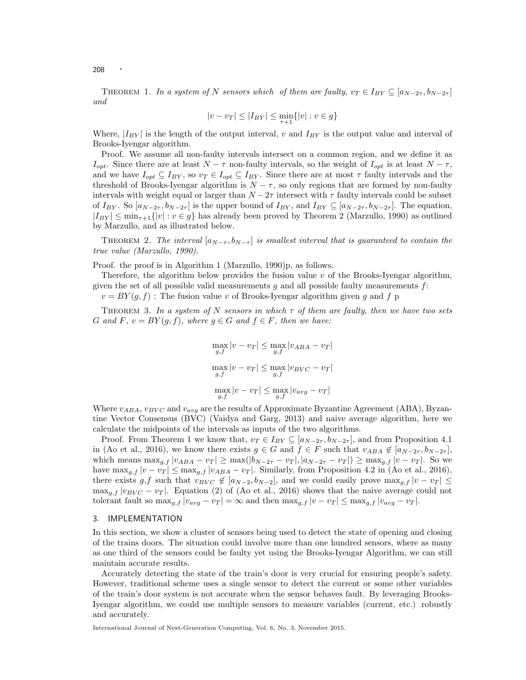THEOREM 1. In a system of N sensors which of them are faulty,  $v_T \in I_{BY} \subseteq [a_{N-2\tau}, b_{N-2\tau}]$ and

$$
|v - v_T| \le |I_{BY}| \le \min_{\tau+1} \{|v| : v \in g\}
$$

Where,  $|I_{BY}|$  is the length of the output interval, v and  $I_{BY}$  is the output value and interval of Brooks-Iyengar algorithm.

Proof. We assume all non-faulty intervals intersect on a common region, and we define it as  $I_{opt}$ . Since there are at least  $N - \tau$  non-faulty intervals, so the weight of  $I_{opt}$  is at least  $N - \tau$ , and we have  $I_{opt} \subseteq I_{BY}$ , so  $v_T \in I_{opt} \subseteq I_{BY}$ . Since there are at most  $\tau$  faulty intervals and the threshold of Brooks-Iyengar algorithm is  $N - \tau$ , so only regions that are formed by non-faulty intervals with weight equal or larger than  $N-2\tau$  intersect with  $\tau$  faulty intervals could be subset of  $I_{BY}$ . So  $[a_{N-2\tau}, b_{N-2\tau}]$  is the upper bound of  $I_{BY}$ , and  $I_{BY} \subseteq [a_{N-2\tau}, b_{N-2\tau}]$ . The equation,  $|I_{BY}| \leq \min_{\tau+1} \{|v| : v \in g\}$  has already been proved by Theorem 2 (Marzullo, 1990) as outlined by Marzullo, and as illustrated below.

THEOREM 2. The interval  $[a_{N-\tau}, b_{N-\tau}]$  is smallest interval that is guaranteed to contain the true value (Marzullo, 1990).

Proof. the proof is in Algorithm 1 (Marzullo, 1990)p, as follows.

Therefore, the algorithm below provides the fusion value  $v$  of the Brooks-Iyengar algorithm, given the set of all possible valid measurements  $g$  and all possible faulty measurements  $f$ :

 $v = BY(g, f)$ : The fusion value v of Brooks-Iyengar algorithm given g and f p

THEOREM 3. In a system of N sensors in which  $\tau$  of them are faulty, then we have two sets G and F,  $v = BY(g, f)$ , where  $g \in G$  and  $f \in F$ , then we have:

$$
\max_{g,f} |v - v_T| \le \max_{g,f} |v_{ABA} - v_T|
$$
  

$$
\max_{g,f} |v - v_T| \le \max_{g,f} |v_{BVC} - v_T|
$$
  

$$
\max_{g,f} |v - v_T| \le \max_{g,f} |v_{avg} - v_T|
$$

Where  $v_{ABA}$ ,  $v_{BVC}$  and  $v_{avg}$  are the results of Approximate Byzantine Agreement (ABA), Byzantine Vector Consensus (BVC) (Vaidya and Garg, 2013) and naive average algorithm, here we calculate the midpoints of the intervals as inputs of the two algorithms.

Proof. From Theorem 1 we know that,  $v_T \in I_{BY} \subseteq [a_{N-2\tau}, b_{N-2\tau}]$ , and from Proposition 4.1 in (Ao et al., 2016), we know there exists  $g \in G$  and  $f \in F$  such that  $v_{ABA} \notin [a_{N-2\tau}, b_{N-2\tau}]$ , which means  $\max_{g,f} |v_{ABA} - v_T| \ge \max(|b_{N-2\tau} - v_T|, |a_{N-2\tau} - v_T|) \ge \max_{g,f} |v - v_T|$ . So we have  $\max_{g,f} |v - v_T| \leq \max_{g,f} |v_{ABA} - v_T|$ . Similarly, from Proposition 4.2 in (Ao et al., 2016), there exists g,f such that  $v_{BVC} \notin [a_{N-2}, b_{N-2}]$ , and we could easily prove  $\max_{g,f} |v - v_T| \le$  $\max_{g,f} |v_{BVC} - v_T|$ . Equation (2) of (Ao et al., 2016) shows that the naive average could not tolerant fault so  $\max_{q,f} |v_{avg} - v_T| = \infty$  and then  $\max_{q,f} |v - v_T| \leq \max_{q,f} |v_{avg} - v_T|$ .

#### 3. IMPLEMENTATION

In this section, we show a cluster of sensors being used to detect the state of opening and closing of the trains doors. The situation could involve more than one hundred sensors, where as many as one third of the sensors could be faulty yet using the Brooks-Iyengar Algorithm, we can still maintain accurate results.

Accurately detecting the state of the train's door is very crucial for ensuring people's safety. However, traditional scheme uses a single sensor to detect the current or some other variables of the train's door system is not accurate when the sensor behaves fault. By leveraging Brooks-Iyengar algorithm, we could use multiple sensors to measure variables (current, etc.) robustly and accurately.

International Journal of Next-Generation Computing, Vol. 6, No. 3, November 2015.

208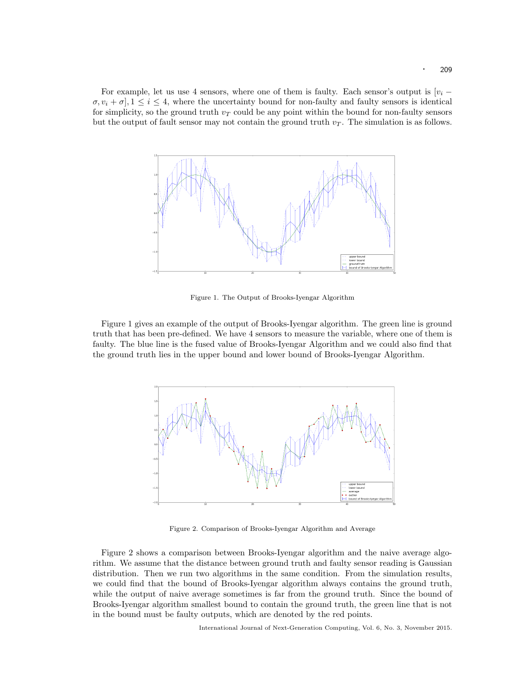For example, let us use 4 sensors, where one of them is faulty. Each sensor's output is  $[v_i \sigma, v_i + \sigma$ ,  $1 \leq i \leq 4$ , where the uncertainty bound for non-faulty and faulty sensors is identical for simplicity, so the ground truth  $v_T$  could be any point within the bound for non-faulty sensors but the output of fault sensor may not contain the ground truth  $v<sub>T</sub>$ . The simulation is as follows.



Figure 1. The Output of Brooks-Iyengar Algorithm

Figure 1 gives an example of the output of Brooks-Iyengar algorithm. The green line is ground truth that has been pre-defined. We have 4 sensors to measure the variable, where one of them is faulty. The blue line is the fused value of Brooks-Iyengar Algorithm and we could also find that the ground truth lies in the upper bound and lower bound of Brooks-Iyengar Algorithm.



Figure 2. Comparison of Brooks-Iyengar Algorithm and Average

Figure 2 shows a comparison between Brooks-Iyengar algorithm and the naive average algorithm. We assume that the distance between ground truth and faulty sensor reading is Gaussian distribution. Then we run two algorithms in the same condition. From the simulation results, we could find that the bound of Brooks-Iyengar algorithm always contains the ground truth, while the output of naive average sometimes is far from the ground truth. Since the bound of Brooks-Iyengar algorithm smallest bound to contain the ground truth, the green line that is not in the bound must be faulty outputs, which are denoted by the red points.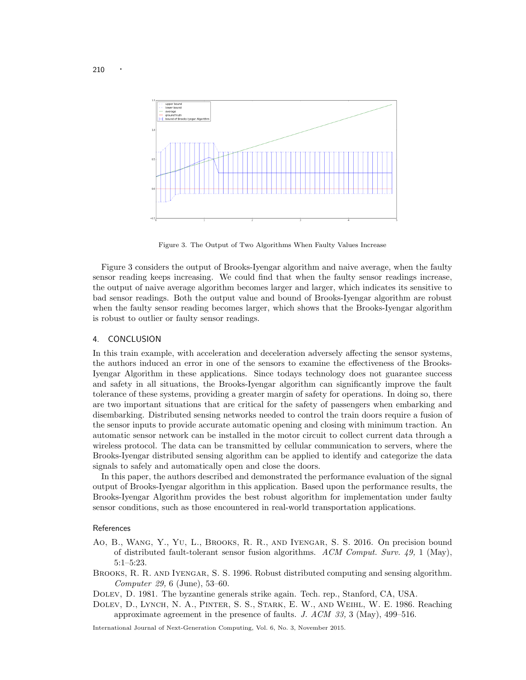

Figure 3. The Output of Two Algorithms When Faulty Values Increase

Figure 3 considers the output of Brooks-Iyengar algorithm and naive average, when the faulty sensor reading keeps increasing. We could find that when the faulty sensor readings increase, the output of naive average algorithm becomes larger and larger, which indicates its sensitive to bad sensor readings. Both the output value and bound of Brooks-Iyengar algorithm are robust when the faulty sensor reading becomes larger, which shows that the Brooks-Iyengar algorithm is robust to outlier or faulty sensor readings.

#### 4. CONCLUSION

In this train example, with acceleration and deceleration adversely affecting the sensor systems, the authors induced an error in one of the sensors to examine the effectiveness of the Brooks-Iyengar Algorithm in these applications. Since todays technology does not guarantee success and safety in all situations, the Brooks-Iyengar algorithm can significantly improve the fault tolerance of these systems, providing a greater margin of safety for operations. In doing so, there are two important situations that are critical for the safety of passengers when embarking and disembarking. Distributed sensing networks needed to control the train doors require a fusion of the sensor inputs to provide accurate automatic opening and closing with minimum traction. An automatic sensor network can be installed in the motor circuit to collect current data through a wireless protocol. The data can be transmitted by cellular communication to servers, where the Brooks-Iyengar distributed sensing algorithm can be applied to identify and categorize the data signals to safely and automatically open and close the doors.

In this paper, the authors described and demonstrated the performance evaluation of the signal output of Brooks-Iyengar algorithm in this application. Based upon the performance results, the Brooks-Iyengar Algorithm provides the best robust algorithm for implementation under faulty sensor conditions, such as those encountered in real-world transportation applications.

#### References

- Ao, B., Wang, Y., Yu, L., Brooks, R. R., and Iyengar, S. S. 2016. On precision bound of distributed fault-tolerant sensor fusion algorithms. ACM Comput. Surv.  $49, 1$  (May), 5:1–5:23.
- Brooks, R. R. and Iyengar, S. S. 1996. Robust distributed computing and sensing algorithm. Computer 29, 6 (June), 53–60.

Dolev, D. 1981. The byzantine generals strike again. Tech. rep., Stanford, CA, USA.

Dolev, D., Lynch, N. A., Pinter, S. S., Stark, E. W., and Weihl, W. E. 1986. Reaching approximate agreement in the presence of faults. J.  $ACM$  33, 3 (May), 499–516.

International Journal of Next-Generation Computing, Vol. 6, No. 3, November 2015.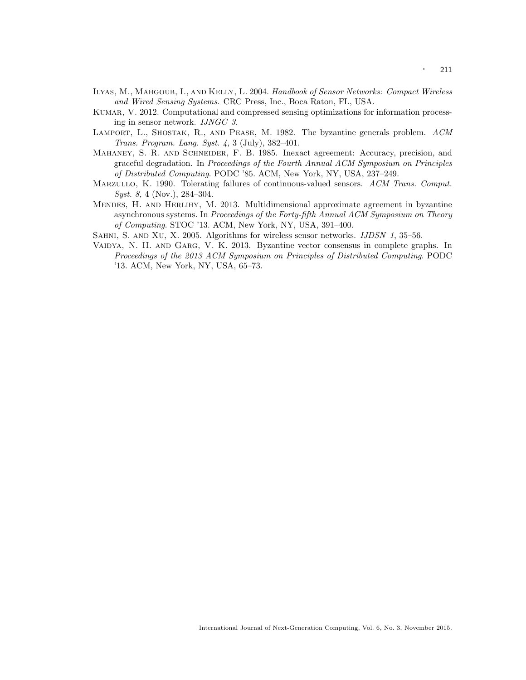- Ilyas, M., Mahgoub, I., and Kelly, L. 2004. Handbook of Sensor Networks: Compact Wireless and Wired Sensing Systems. CRC Press, Inc., Boca Raton, FL, USA.
- KUMAR, V. 2012. Computational and compressed sensing optimizations for information processing in sensor network. IJNGC 3.
- Lamport, L., Shostak, R., and Pease, M. 1982. The byzantine generals problem. ACM Trans. Program. Lang. Syst. 4, 3 (July), 382–401.
- Mahaney, S. R. and Schneider, F. B. 1985. Inexact agreement: Accuracy, precision, and graceful degradation. In Proceedings of the Fourth Annual ACM Symposium on Principles of Distributed Computing. PODC '85. ACM, New York, NY, USA, 237–249.
- MARZULLO, K. 1990. Tolerating failures of continuous-valued sensors. ACM Trans. Comput. Syst. 8, 4 (Nov.), 284-304.
- Mendes, H. and Herlihy, M. 2013. Multidimensional approximate agreement in byzantine asynchronous systems. In Proceedings of the Forty-fifth Annual ACM Symposium on Theory of Computing. STOC '13. ACM, New York, NY, USA, 391–400.
- Sahni, S. and Xu, X. 2005. Algorithms for wireless sensor networks. IJDSN 1, 35–56.
- Vaidya, N. H. and Garg, V. K. 2013. Byzantine vector consensus in complete graphs. In Proceedings of the 2013 ACM Symposium on Principles of Distributed Computing. PODC '13. ACM, New York, NY, USA, 65–73.